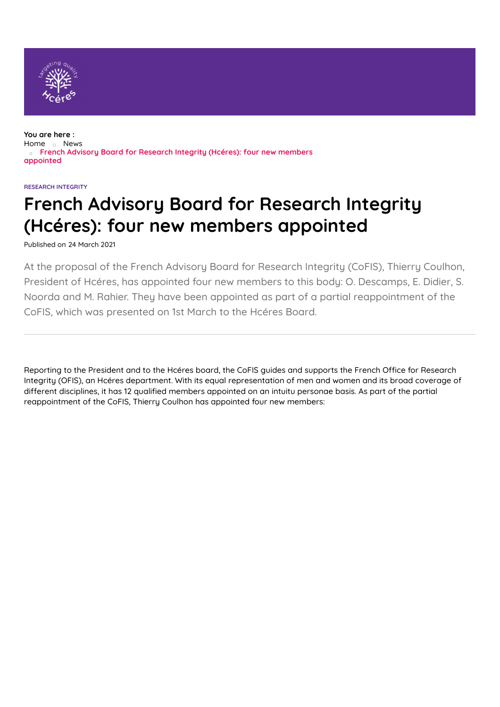

**You are here :** [Home](https://www.hceres.fr/en) [News](https://www.hceres.fr/en/actualites) **French Advisory Board for Research Integrity (Hcéres): four new members appointed**

#### **RESEARCH INTEGRITY**

# **French Advisory Board for Research Integrity (Hcéres): four new members appointed**

Published on 24 March 2021

At the proposal of the French Advisory Board for Research Integrity (CoFIS), Thierry Coulhon, President of Hcéres, has appointed four new members to this body: O. Descamps, E. Didier, S. Noorda and M. Rahier. They have been appointed as part of a partial reappointment of the CoFIS, which was presented on 1st March to the Hcéres Board.

Reporting to the President and to the Hcéres board, the CoFIS guides and supports the French Office for Research Integrity (OFIS), an Hcéres department. With its equal representation of men and women and its broad coverage of different disciplines, it has 12 qualified members appointed on an intuitu personae basis. As part of the partial reappointment of the CoFIS, Thierry Coulhon has appointed four new members: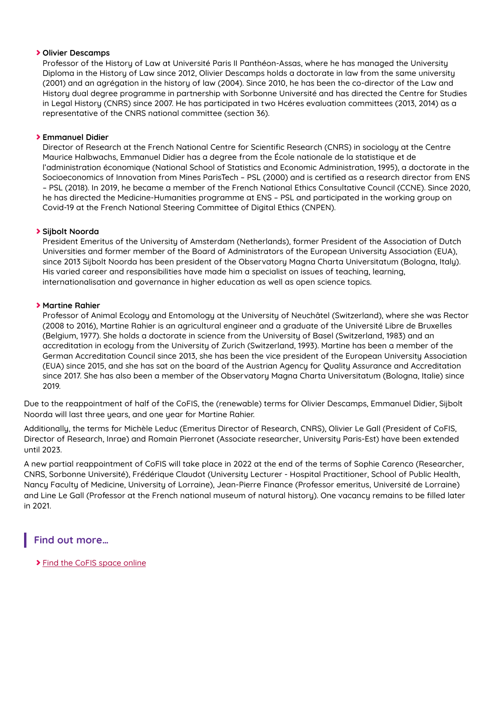#### **Olivier Descamps**

Professor of the History of Law at Université Paris II Panthéon-Assas, where he has managed the University Diploma in the History of Law since 2012, Olivier Descamps holds a doctorate in law from the same university (2001) and an agrégation in the history of law (2004). Since 2010, he has been the co-director of the Law and History dual degree programme in partnership with Sorbonne Université and has directed the Centre for Studies in Legal History (CNRS) since 2007. He has participated in two Hcéres evaluation committees (2013, 2014) as a representative of the CNRS national committee (section 36).

### **Emmanuel Didier**

Director of Research at the French National Centre for Scientific Research (CNRS) in sociology at the Centre Maurice Halbwachs, Emmanuel Didier has a degree from the École nationale de la statistique et de l'administration économique (National School of Statistics and Economic Administration, 1995), a doctorate in the Socioeconomics of Innovation from Mines ParisTech - PSL (2000) and is certified as a research director from ENS – PSL (2018). In 2019, he became a member of the French National Ethics Consultative Council (CCNE). Since 2020, he has directed the Medicine-Humanities programme at ENS – PSL and participated in the working group on Covid-19 at the French National Steering Committee of Digital Ethics (CNPEN).

#### **Sijbolt Noorda**

President Emeritus of the University of Amsterdam (Netherlands), former President of the Association of Dutch Universities and former member of the Board of Administrators of the European University Association (EUA), since 2013 Sijbolt Noorda has been president of the Observatory Magna Charta Universitatum (Bologna, Italy). His varied career and responsibilities have made him a specialist on issues of teaching, learning, internationalisation and governance in higher education as well as open science topics.

#### **Martine Rahier**

Professor of Animal Ecology and Entomology at the University of Neuchâtel (Switzerland), where she was Rector (2008 to 2016), Martine Rahier is an agricultural engineer and a graduate of the Université Libre de Bruxelles (Belgium, 1977). She holds a doctorate in science from the University of Basel (Switzerland, 1983) and an accreditation in ecology from the University of Zurich (Switzerland, 1993). Martine has been a member of the German Accreditation Council since 2013, she has been the vice president of the European University Association (EUA) since 2015, and she has sat on the board of the Austrian Agency for Quality Assurance and Accreditation since 2017. She has also been a member of the Observatory Magna Charta Universitatum (Bologna, Italie) since 2019.

Due to the reappointment of half of the CoFIS, the (renewable) terms for Olivier Descamps, Emmanuel Didier, Sijbolt Noorda will last three years, and one year for Martine Rahier.

Additionally, the terms for Michèle Leduc (Emeritus Director of Research, CNRS), Olivier Le Gall (President of CoFIS, Director of Research, Inrae) and Romain Pierronet (Associate researcher, University Paris-Est) have been extended until 2023.

A new partial reappointment of CoFIS will take place in 2022 at the end of the terms of Sophie Carenco (Researcher, CNRS, Sorbonne Université), Frédérique Claudot (University Lecturer - Hospital Practitioner, School of Public Health, Nancy Faculty of Medicine, University of Lorraine), Jean-Pierre Finance (Professor emeritus, Université de Lorraine) and Line Le Gall (Professor at the French national museum of natural history). One vacancy remains to be filled later in 2021.

## **Find out more…**

Find the CoFIS [space](https://www.hceres.fr/en/french-advisory-board-research-integrity) online